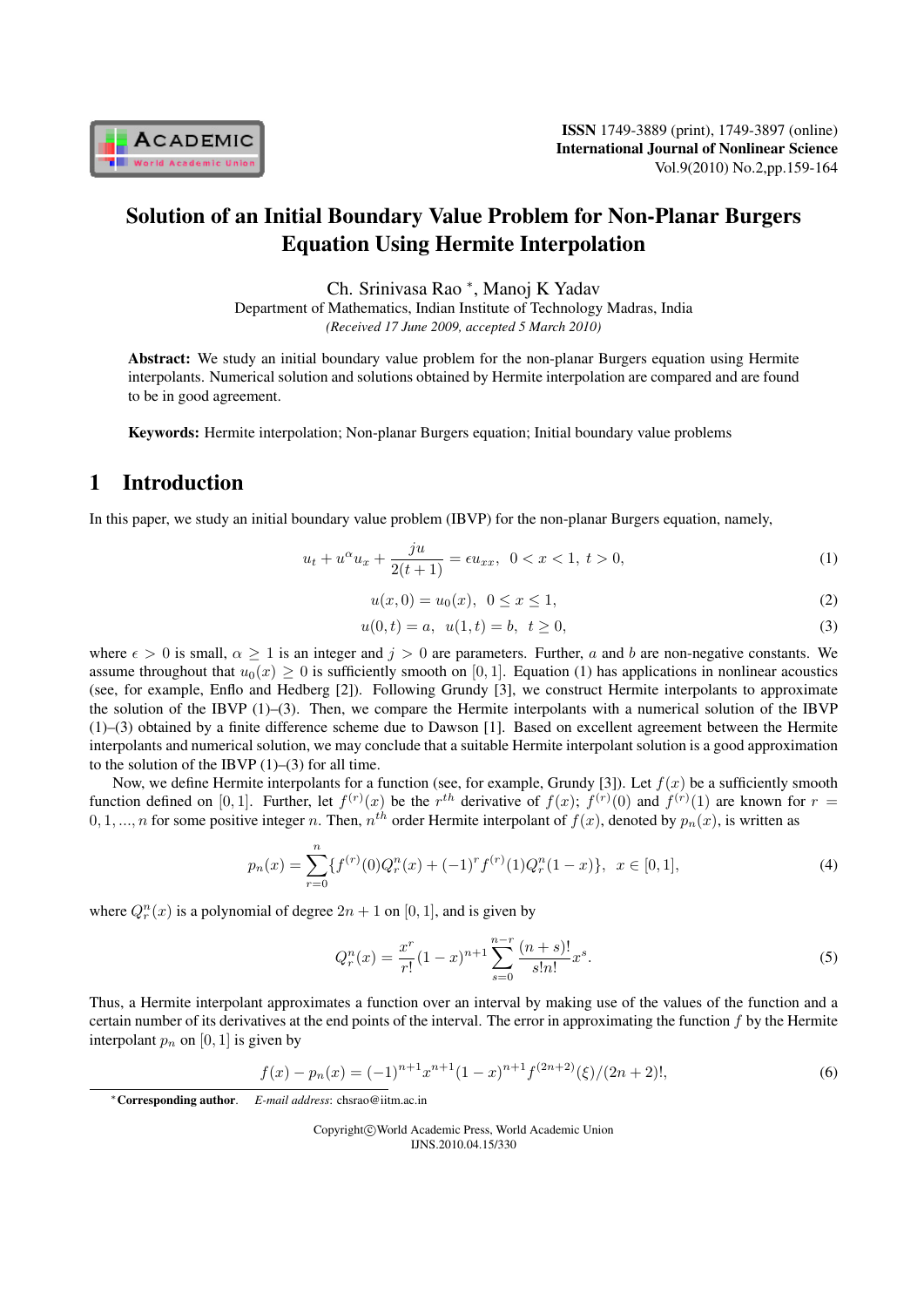

# Solution of an Initial Boundary Value Problem for Non-Planar Burgers Equation Using Hermite Interpolation

Ch. Srinivasa Rao *<sup>∗</sup>* , Manoj K Yadav Department of Mathematics, Indian Institute of Technology Madras, India

*(Received 17 June 2009, accepted 5 March 2010)*

Abstract: We study an initial boundary value problem for the non-planar Burgers equation using Hermite interpolants. Numerical solution and solutions obtained by Hermite interpolation are compared and are found to be in good agreement.

Keywords: Hermite interpolation; Non-planar Burgers equation; Initial boundary value problems

## 1 Introduction

In this paper, we study an initial boundary value problem (IBVP) for the non-planar Burgers equation, namely,

$$
u_t + u^{\alpha} u_x + \frac{ju}{2(t+1)} = \epsilon u_{xx}, \ \ 0 < x < 1, \ t > 0,\tag{1}
$$

$$
u(x,0) = u_0(x), \ \ 0 \le x \le 1,\tag{2}
$$

$$
u(0,t) = a, \ u(1,t) = b, \ t \ge 0,
$$
\n<sup>(3)</sup>

where  $\epsilon > 0$  is small,  $\alpha \ge 1$  is an integer and  $j > 0$  are parameters. Further, a and b are non-negative constants. We assume throughout that  $u_0(x) \geq 0$  is sufficiently smooth on [0, 1]. Equation (1) has applications in nonlinear acoustics (see, for example, Enflo and Hedberg [2]). Following Grundy [3], we construct Hermite interpolants to approximate the solution of the IBVP (1)–(3). Then, we compare the Hermite interpolants with a numerical solution of the IBVP (1)–(3) obtained by a finite difference scheme due to Dawson [1]. Based on excellent agreement between the Hermite interpolants and numerical solution, we may conclude that a suitable Hermite interpolant solution is a good approximation to the solution of the IBVP  $(1)$ – $(3)$  for all time.

Now, we define Hermite interpolants for a function (see, for example, Grundy [3]). Let  $f(x)$  be a sufficiently smooth function defined on [0, 1]. Further, let  $f^{(r)}(x)$  be the  $r^{th}$  derivative of  $f(x)$ ;  $f^{(r)}(0)$  and  $f^{(r)}(1)$  are known for  $r =$  $0, 1, ..., n$  for some positive integer n. Then,  $n^{th}$  order Hermite interpolant of  $f(x)$ , denoted by  $p_n(x)$ , is written as

$$
p_n(x) = \sum_{r=0}^n \{f^{(r)}(0)Q_r^n(x) + (-1)^r f^{(r)}(1)Q_r^n(1-x)\}, \ \ x \in [0,1],
$$
\n(4)

where  $Q_r^n(x)$  is a polynomial of degree  $2n + 1$  on  $[0, 1]$ , and is given by

$$
Q_r^n(x) = \frac{x^r}{r!} (1-x)^{n+1} \sum_{s=0}^{n-r} \frac{(n+s)!}{s!n!} x^s.
$$
 (5)

Thus, a Hermite interpolant approximates a function over an interval by making use of the values of the function and a certain number of its derivatives at the end points of the interval. The error in approximating the function  $f$  by the Hermite interpolant  $p_n$  on [0, 1] is given by

$$
f(x) - p_n(x) = (-1)^{n+1} x^{n+1} (1-x)^{n+1} f^{(2n+2)}(\xi) / (2n+2)!,
$$
\n(6)

Copyright*⃝*c World Academic Press, World Academic Union IJNS.2010.04.15/330

*<sup>∗</sup>*Corresponding author. *E-mail address*: chsrao@iitm.ac.in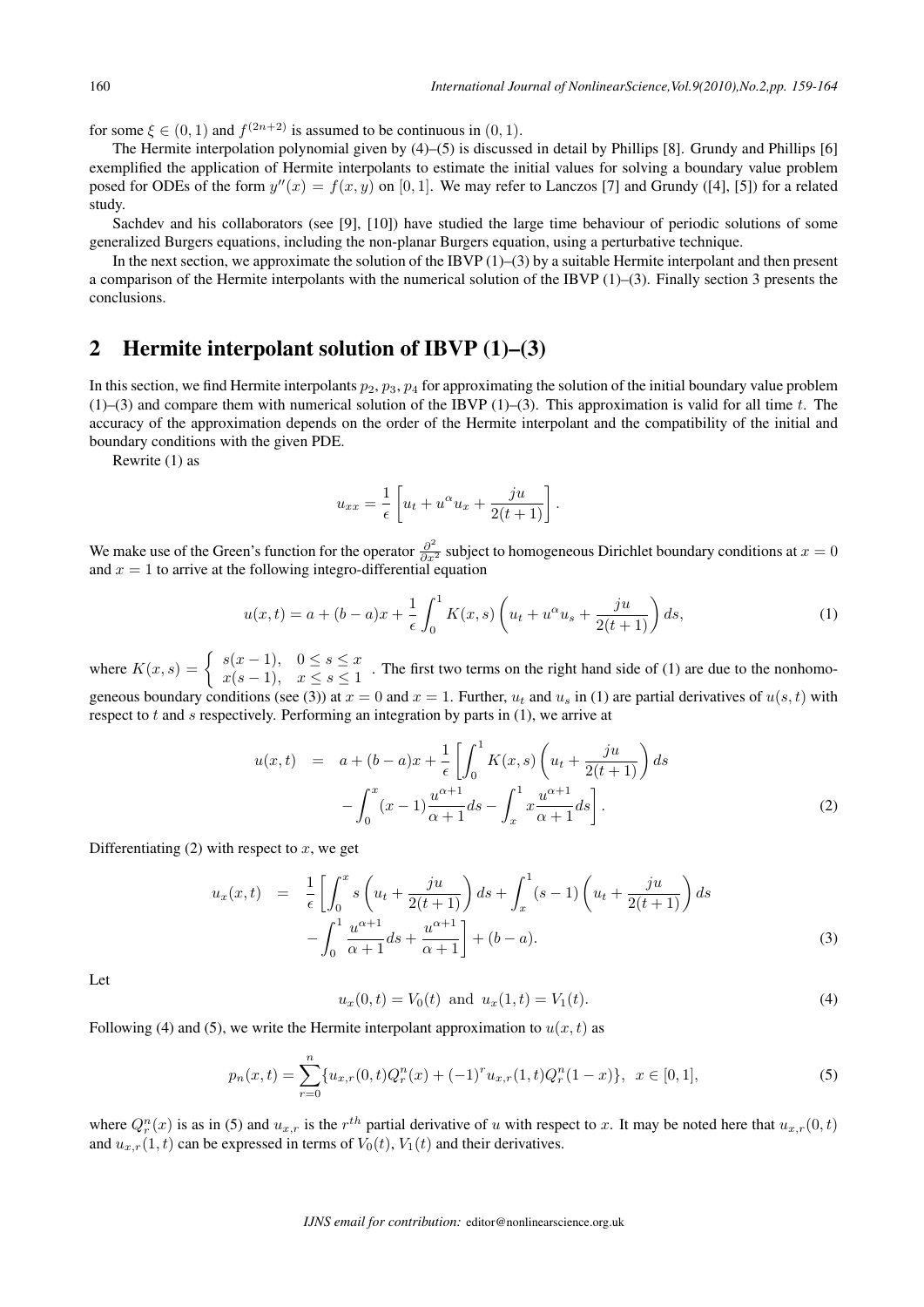for some  $\xi \in (0,1)$  and  $f^{(2n+2)}$  is assumed to be continuous in  $(0,1)$ .

The Hermite interpolation polynomial given by (4)–(5) is discussed in detail by Phillips [8]. Grundy and Phillips [6] exemplified the application of Hermite interpolants to estimate the initial values for solving a boundary value problem posed for ODEs of the form  $y''(x) = f(x, y)$  on [0, 1]. We may refer to Lanczos [7] and Grundy ([4], [5]) for a related study.

Sachdev and his collaborators (see [9], [10]) have studied the large time behaviour of periodic solutions of some generalized Burgers equations, including the non-planar Burgers equation, using a perturbative technique.

In the next section, we approximate the solution of the IBVP  $(1)$ – $(3)$  by a suitable Hermite interpolant and then present a comparison of the Hermite interpolants with the numerical solution of the IBVP (1)–(3). Finally section 3 presents the conclusions.

### 2 Hermite interpolant solution of IBVP (1)–(3)

In this section, we find Hermite interpolants  $p_2$ ,  $p_3$ ,  $p_4$  for approximating the solution of the initial boundary value problem (1)–(3) and compare them with numerical solution of the IBVP (1)–(3). This approximation is valid for all time t. The accuracy of the approximation depends on the order of the Hermite interpolant and the compatibility of the initial and boundary conditions with the given PDE.

Rewrite (1) as

$$
u_{xx} = \frac{1}{\epsilon} \left[ u_t + u^{\alpha} u_x + \frac{j u}{2(t+1)} \right].
$$

We make use of the Green's function for the operator  $\frac{\partial^2}{\partial x^2}$  subject to homogeneous Dirichlet boundary conditions at  $x=0$ and  $x = 1$  to arrive at the following integro-differential equation

$$
u(x,t) = a + (b - a)x + \frac{1}{\epsilon} \int_0^1 K(x,s) \left( u_t + u^{\alpha} u_s + \frac{j u}{2(t+1)} \right) ds,
$$
 (1)

where  $K(x, s) = \begin{cases} s(x-1), & 0 \le s \le x \\ s(x-1), & x \le s \le 1 \end{cases}$  $x(s-1), \quad s \leq s \leq x$ . The first two terms on the right hand side of (1) are due to the nonhomo-<br> $x(s-1), \quad x \leq s \leq 1$ . geneous boundary conditions (see (3)) at  $x = 0$  and  $x = 1$ . Further,  $u_t$  and  $u_s$  in (1) are partial derivatives of  $u(s, t)$  with respect to  $t$  and  $s$  respectively. Performing an integration by parts in  $(1)$ , we arrive at

$$
u(x,t) = a + (b-a)x + \frac{1}{\epsilon} \left[ \int_0^1 K(x,s) \left( u_t + \frac{ju}{2(t+1)} \right) ds - \int_0^x (x-1) \frac{u^{\alpha+1}}{\alpha+1} ds - \int_x^1 x \frac{u^{\alpha+1}}{\alpha+1} ds \right].
$$
 (2)

Differentiating  $(2)$  with respect to x, we get

$$
u_x(x,t) = \frac{1}{\epsilon} \left[ \int_0^x s \left( u_t + \frac{ju}{2(t+1)} \right) ds + \int_x^1 (s-1) \left( u_t + \frac{ju}{2(t+1)} \right) ds - \int_0^1 \frac{u^{\alpha+1}}{\alpha+1} ds + \frac{u^{\alpha+1}}{\alpha+1} \right] + (b-a).
$$
 (3)

Let

$$
u_x(0,t) = V_0(t) \text{ and } u_x(1,t) = V_1(t). \tag{4}
$$

Following (4) and (5), we write the Hermite interpolant approximation to  $u(x, t)$  as

$$
p_n(x,t) = \sum_{r=0}^n \{u_{x,r}(0,t)Q_r^n(x) + (-1)^r u_{x,r}(1,t)Q_r^n(1-x)\}, \quad x \in [0,1],
$$
\n(5)

where  $Q_r^n(x)$  is as in (5) and  $u_{x,r}$  is the  $r^{th}$  partial derivative of u with respect to x. It may be noted here that  $u_{x,r}(0,t)$ and  $u_{x,r}(1,t)$  can be expressed in terms of  $V_0(t)$ ,  $V_1(t)$  and their derivatives.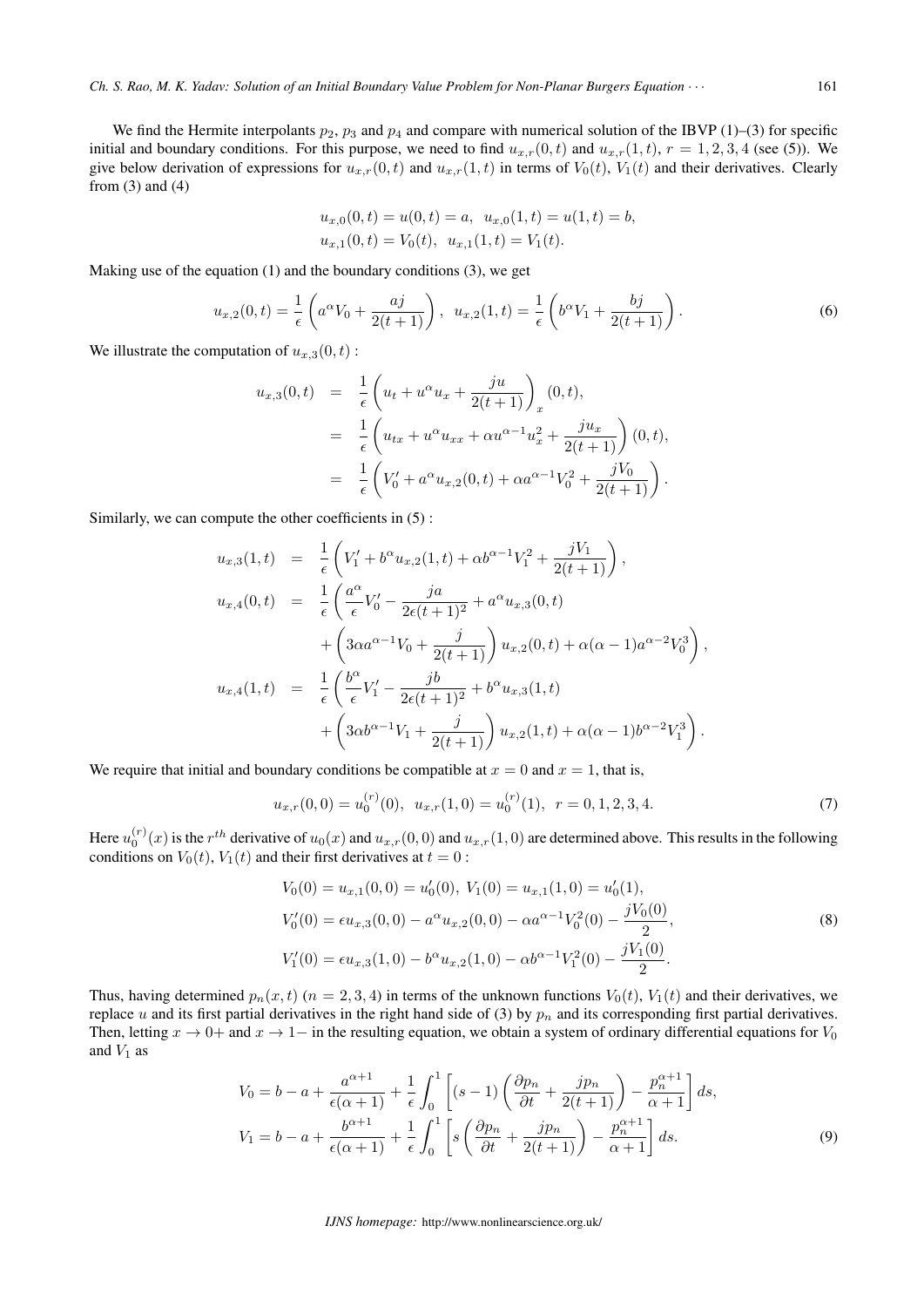We find the Hermite interpolants  $p_2$ ,  $p_3$  and  $p_4$  and compare with numerical solution of the IBVP (1)–(3) for specific initial and boundary conditions. For this purpose, we need to find  $u_{x,r}(0,t)$  and  $u_{x,r}(1,t)$ ,  $r = 1, 2, 3, 4$  (see (5)). We give below derivation of expressions for  $u_{x,r}(0,t)$  and  $u_{x,r}(1,t)$  in terms of  $V_0(t)$ ,  $V_1(t)$  and their derivatives. Clearly from  $(3)$  and  $(4)$ 

$$
u_{x,0}(0,t) = u(0,t) = a, \ u_{x,0}(1,t) = u(1,t) = b,
$$
  

$$
u_{x,1}(0,t) = V_0(t), \ u_{x,1}(1,t) = V_1(t).
$$

Making use of the equation (1) and the boundary conditions (3), we get

$$
u_{x,2}(0,t) = \frac{1}{\epsilon} \left( a^{\alpha} V_0 + \frac{aj}{2(t+1)} \right), \ \ u_{x,2}(1,t) = \frac{1}{\epsilon} \left( b^{\alpha} V_1 + \frac{bj}{2(t+1)} \right). \tag{6}
$$

We illustrate the computation of  $u_{x,3}(0, t)$ :

$$
u_{x,3}(0,t) = \frac{1}{\epsilon} \left( u_t + u^{\alpha} u_x + \frac{ju}{2(t+1)} \right)_x (0,t),
$$
  
\n
$$
= \frac{1}{\epsilon} \left( u_{tx} + u^{\alpha} u_{xx} + \alpha u^{\alpha-1} u_x^2 + \frac{ju_x}{2(t+1)} \right) (0,t),
$$
  
\n
$$
= \frac{1}{\epsilon} \left( V'_0 + a^{\alpha} u_{x,2}(0,t) + \alpha a^{\alpha-1} V_0^2 + \frac{jV_0}{2(t+1)} \right).
$$

Similarly, we can compute the other coefficients in (5) :

$$
u_{x,3}(1,t) = \frac{1}{\epsilon} \left( V_1' + b^{\alpha} u_{x,2}(1,t) + \alpha b^{\alpha-1} V_1^2 + \frac{jV_1}{2(t+1)} \right),
$$
  
\n
$$
u_{x,4}(0,t) = \frac{1}{\epsilon} \left( \frac{a^{\alpha}}{\epsilon} V_0' - \frac{j a}{2\epsilon(t+1)^2} + a^{\alpha} u_{x,3}(0,t) + \left( 3\alpha a^{\alpha-1} V_0 + \frac{j}{2(t+1)} \right) u_{x,2}(0,t) + \alpha(\alpha-1) a^{\alpha-2} V_0^3 \right),
$$
  
\n
$$
u_{x,4}(1,t) = \frac{1}{\epsilon} \left( \frac{b^{\alpha}}{\epsilon} V_1' - \frac{j b}{2\epsilon(t+1)^2} + b^{\alpha} u_{x,3}(1,t) + \left( 3\alpha b^{\alpha-1} V_1 + \frac{j}{2(t+1)} \right) u_{x,2}(1,t) + \alpha(\alpha-1) b^{\alpha-2} V_1^3 \right).
$$

We require that initial and boundary conditions be compatible at  $x = 0$  and  $x = 1$ , that is,

$$
u_{x,r}(0,0) = u_0^{(r)}(0), \ \ u_{x,r}(1,0) = u_0^{(r)}(1), \ \ r = 0, 1, 2, 3, 4. \tag{7}
$$

Here  $u_0^{(r)}(x)$  is the  $r^{th}$  derivative of  $u_0(x)$  and  $u_{x,r}(0,0)$  and  $u_{x,r}(1,0)$  are determined above. This results in the following conditions on  $V_0(t)$ ,  $V_1(t)$  and their first derivatives at  $t = 0$ :

$$
V_0(0) = u_{x,1}(0,0) = u'_0(0), V_1(0) = u_{x,1}(1,0) = u'_0(1),
$$
  
\n
$$
V'_0(0) = \epsilon u_{x,3}(0,0) - a^{\alpha} u_{x,2}(0,0) - \alpha a^{\alpha-1} V_0^2(0) - \frac{jV_0(0)}{2},
$$
  
\n
$$
V'_1(0) = \epsilon u_{x,3}(1,0) - b^{\alpha} u_{x,2}(1,0) - \alpha b^{\alpha-1} V_1^2(0) - \frac{jV_1(0)}{2}.
$$
\n(8)

Thus, having determined  $p_n(x, t)$  ( $n = 2, 3, 4$ ) in terms of the unknown functions  $V_0(t)$ ,  $V_1(t)$  and their derivatives, we replace u and its first partial derivatives in the right hand side of (3) by  $p_n$  and its corresponding first partial derivatives. Then, letting  $x \to 0+$  and  $x \to 1-$  in the resulting equation, we obtain a system of ordinary differential equations for  $V_0$ and  $V_1$  as

$$
V_0 = b - a + \frac{a^{\alpha+1}}{\epsilon(\alpha+1)} + \frac{1}{\epsilon} \int_0^1 \left[ (s-1) \left( \frac{\partial p_n}{\partial t} + \frac{j p_n}{2(t+1)} \right) - \frac{p_n^{\alpha+1}}{\alpha+1} \right] ds,
$$
  

$$
V_1 = b - a + \frac{b^{\alpha+1}}{\epsilon(\alpha+1)} + \frac{1}{\epsilon} \int_0^1 \left[ s \left( \frac{\partial p_n}{\partial t} + \frac{j p_n}{2(t+1)} \right) - \frac{p_n^{\alpha+1}}{\alpha+1} \right] ds.
$$
 (9)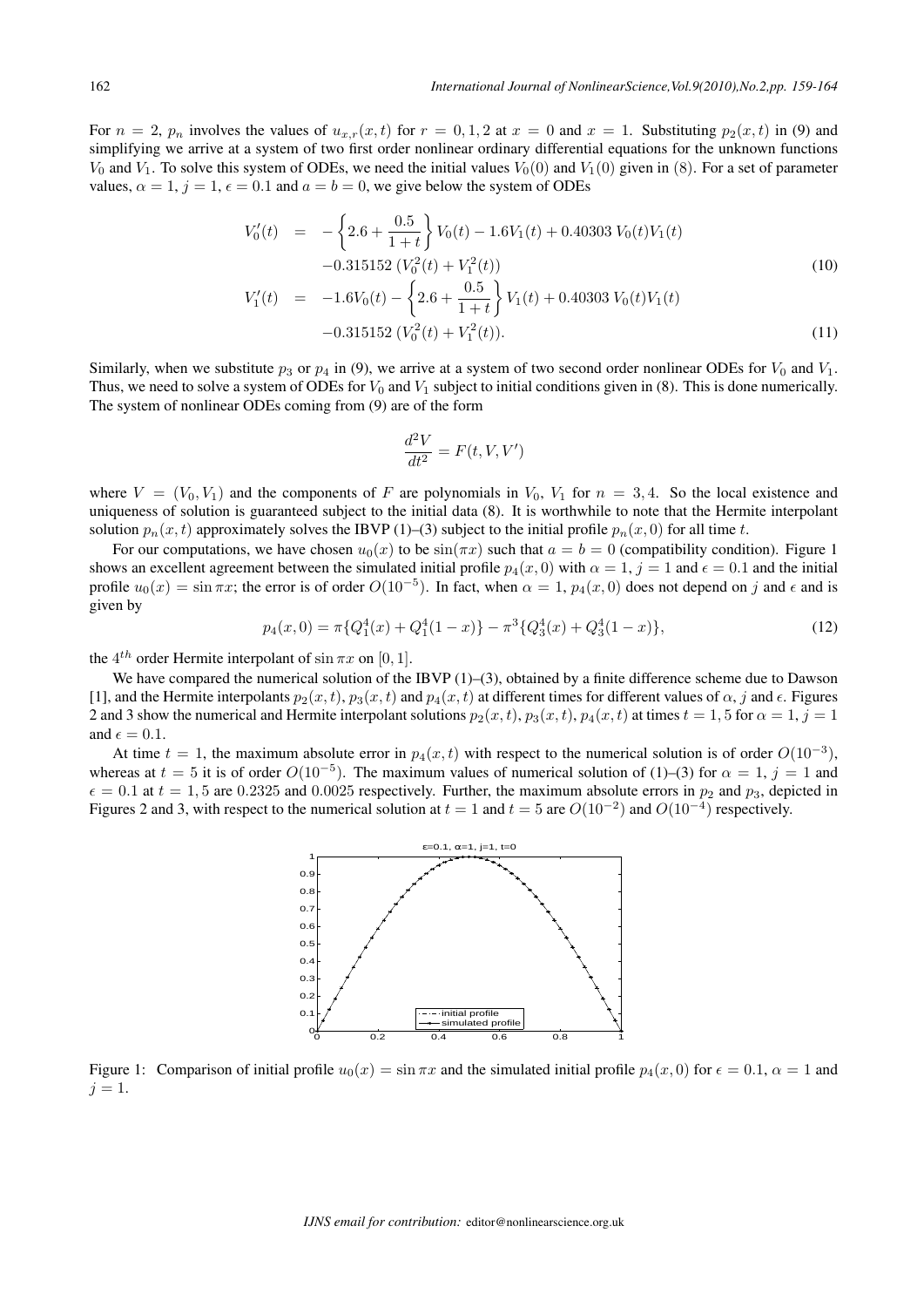For  $n = 2$ ,  $p_n$  involves the values of  $u_{x,r}(x,t)$  for  $r = 0,1,2$  at  $x = 0$  and  $x = 1$ . Substituting  $p_2(x,t)$  in (9) and simplifying we arrive at a system of two first order nonlinear ordinary differential equations for the unknown functions  $V_0$  and  $V_1$ . To solve this system of ODEs, we need the initial values  $V_0(0)$  and  $V_1(0)$  given in (8). For a set of parameter values,  $\alpha = 1$ ,  $j = 1$ ,  $\epsilon = 0.1$  and  $a = b = 0$ , we give below the system of ODEs

$$
V'_0(t) = -\left\{2.6 + \frac{0.5}{1+t}\right\} V_0(t) - 1.6V_1(t) + 0.40303 V_0(t)V_1(t)
$$
  
\n
$$
-0.315152 (V_0^2(t) + V_1^2(t))
$$
  
\n
$$
V'_1(t) = -1.6V_0(t) - \left\{2.6 + \frac{0.5}{1+t}\right\} V_1(t) + 0.40303 V_0(t)V_1(t)
$$
\n(10)

$$
-0.315152\left(V_0^2(t) + V_1^2(t)\right). \tag{11}
$$

Similarly, when we substitute  $p_3$  or  $p_4$  in (9), we arrive at a system of two second order nonlinear ODEs for  $V_0$  and  $V_1$ . Thus, we need to solve a system of ODEs for  $V_0$  and  $V_1$  subject to initial conditions given in (8). This is done numerically. The system of nonlinear ODEs coming from (9) are of the form

$$
\frac{d^2V}{dt^2} = F(t, V, V')
$$

where  $V = (V_0, V_1)$  and the components of F are polynomials in  $V_0$ ,  $V_1$  for  $n = 3, 4$ . So the local existence and uniqueness of solution is guaranteed subject to the initial data (8). It is worthwhile to note that the Hermite interpolant solution  $p_n(x, t)$  approximately solves the IBVP (1)–(3) subject to the initial profile  $p_n(x, 0)$  for all time t.

For our computations, we have chosen  $u_0(x)$  to be  $sin(\pi x)$  such that  $a = b = 0$  (compatibility condition). Figure 1 shows an excellent agreement between the simulated initial profile  $p_4(x, 0)$  with  $\alpha = 1$ ,  $j = 1$  and  $\epsilon = 0.1$  and the initial profile  $u_0(x) = \sin \pi x$ ; the error is of order  $O(10^{-5})$ . In fact, when  $\alpha = 1$ ,  $p_4(x, 0)$  does not depend on j and  $\epsilon$  and is given by

$$
p_4(x,0) = \pi \{ Q_1^4(x) + Q_1^4(1-x) \} - \pi^3 \{ Q_3^4(x) + Q_3^4(1-x) \},\tag{12}
$$

the  $4^{th}$  order Hermite interpolant of  $\sin \pi x$  on [0, 1].

We have compared the numerical solution of the IBVP  $(1)$ – $(3)$ , obtained by a finite difference scheme due to Dawson [1], and the Hermite interpolants  $p_2(x, t)$ ,  $p_3(x, t)$  and  $p_4(x, t)$  at different times for different values of  $\alpha$ ,  $j$  and  $\epsilon$ . Figures 2 and 3 show the numerical and Hermite interpolant solutions  $p_2(x, t)$ ,  $p_3(x, t)$ ,  $p_4(x, t)$  at times  $t = 1, 5$  for  $\alpha = 1, j = 1$ and  $\epsilon = 0.1$ .

At time  $t = 1$ , the maximum absolute error in  $p_4(x, t)$  with respect to the numerical solution is of order  $O(10^{-3})$ , whereas at  $t = 5$  it is of order  $O(10^{-5})$ . The maximum values of numerical solution of (1)–(3) for  $\alpha = 1$ ,  $j = 1$  and  $\epsilon = 0.1$  at  $t = 1, 5$  are 0.2325 and 0.0025 respectively. Further, the maximum absolute errors in  $p_2$  and  $p_3$ , depicted in Figures 2 and 3, with respect to the numerical solution at  $t = 1$  and  $t = 5$  are  $O(10^{-2})$  and  $O(10^{-4})$  respectively.



Figure 1: Comparison of initial profile  $u_0(x) = \sin \pi x$  and the simulated initial profile  $p_4(x, 0)$  for  $\epsilon = 0.1$ ,  $\alpha = 1$  and  $j = 1$ .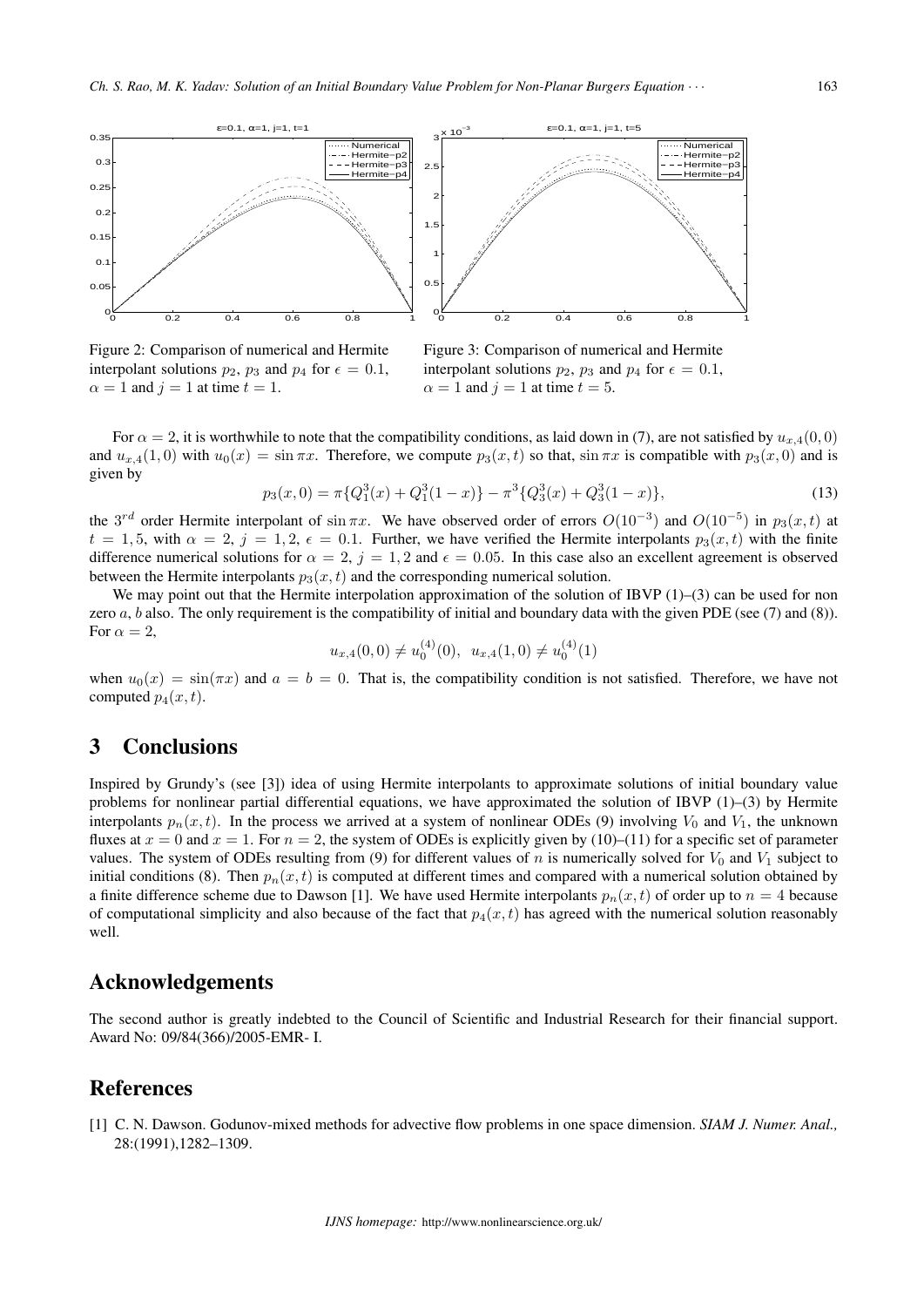

Figure 2: Comparison of numerical and Hermite interpolant solutions  $p_2$ ,  $p_3$  and  $p_4$  for  $\epsilon = 0.1$ ,  $\alpha = 1$  and  $i = 1$  at time  $t = 1$ .

Figure 3: Comparison of numerical and Hermite interpolant solutions  $p_2$ ,  $p_3$  and  $p_4$  for  $\epsilon = 0.1$ ,  $\alpha = 1$  and  $i = 1$  at time  $t = 5$ .

For  $\alpha = 2$ , it is worthwhile to note that the compatibility conditions, as laid down in (7), are not satisfied by  $u_{x,4}(0,0)$ and  $u_{x,4}(1,0)$  with  $u_0(x) = \sin \pi x$ . Therefore, we compute  $p_3(x,t)$  so that,  $\sin \pi x$  is compatible with  $p_3(x,0)$  and is given by

$$
p_3(x,0) = \pi \{Q_1^3(x) + Q_1^3(1-x)\} - \pi^3 \{Q_3^3(x) + Q_3^3(1-x)\},\tag{13}
$$

the 3<sup>rd</sup> order Hermite interpolant of sin  $\pi x$ . We have observed order of errors  $O(10^{-3})$  and  $O(10^{-5})$  in  $p_3(x,t)$  at  $t = 1, 5$ , with  $\alpha = 2, j = 1, 2, \epsilon = 0.1$ . Further, we have verified the Hermite interpolants  $p_3(x, t)$  with the finite difference numerical solutions for  $\alpha = 2$ ,  $j = 1, 2$  and  $\epsilon = 0.05$ . In this case also an excellent agreement is observed between the Hermite interpolants  $p_3(x, t)$  and the corresponding numerical solution.

We may point out that the Hermite interpolation approximation of the solution of IBVP  $(1)$ – $(3)$  can be used for non zero a, b also. The only requirement is the compatibility of initial and boundary data with the given PDE (see  $(7)$  and  $(8)$ ). For  $\alpha = 2$ ,

$$
u_{x,4}(0,0) \neq u_0^{(4)}(0), \ \ u_{x,4}(1,0) \neq u_0^{(4)}(1)
$$

when  $u_0(x) = \sin(\pi x)$  and  $a = b = 0$ . That is, the compatibility condition is not satisfied. Therefore, we have not computed  $p_4(x, t)$ .

### 3 Conclusions

Inspired by Grundy's (see [3]) idea of using Hermite interpolants to approximate solutions of initial boundary value problems for nonlinear partial differential equations, we have approximated the solution of IBVP (1)–(3) by Hermite interpolants  $p_n(x, t)$ . In the process we arrived at a system of nonlinear ODEs (9) involving  $V_0$  and  $V_1$ , the unknown fluxes at  $x = 0$  and  $x = 1$ . For  $n = 2$ , the system of ODEs is explicitly given by (10)–(11) for a specific set of parameter values. The system of ODEs resulting from (9) for different values of  $n$  is numerically solved for  $V_0$  and  $V_1$  subject to initial conditions (8). Then  $p_n(x, t)$  is computed at different times and compared with a numerical solution obtained by a finite difference scheme due to Dawson [1]. We have used Hermite interpolants  $p_n(x, t)$  of order up to  $n = 4$  because of computational simplicity and also because of the fact that  $p_4(x, t)$  has agreed with the numerical solution reasonably well.

#### Acknowledgements

The second author is greatly indebted to the Council of Scientific and Industrial Research for their financial support. Award No: 09/84(366)/2005-EMR- I.

### References

[1] C. N. Dawson. Godunov-mixed methods for advective flow problems in one space dimension. *SIAM J. Numer. Anal.,* 28:(1991),1282–1309.